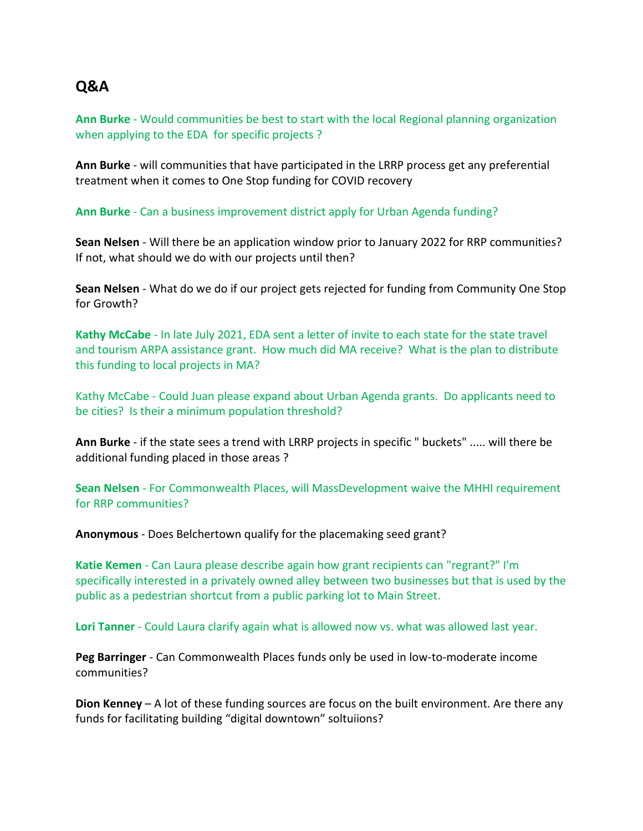## **Q&A**

**Ann Burke** - Would communities be best to start with the local Regional planning organization when applying to the EDA for specific projects ?

**Ann Burke** - will communities that have participated in the LRRP process get any preferential treatment when it comes to One Stop funding for COVID recovery

**Ann Burke** - Can a business improvement district apply for Urban Agenda funding?

**Sean Nelsen** - Will there be an application window prior to January 2022 for RRP communities? If not, what should we do with our projects until then?

**Sean Nelsen** - What do we do if our project gets rejected for funding from Community One Stop for Growth?

**Kathy McCabe** - In late July 2021, EDA sent a letter of invite to each state for the state travel and tourism ARPA assistance grant. How much did MA receive? What is the plan to distribute this funding to local projects in MA?

Kathy McCabe - Could Juan please expand about Urban Agenda grants. Do applicants need to be cities? Is their a minimum population threshold?

**Ann Burke** - if the state sees a trend with LRRP projects in specific " buckets" ..... will there be additional funding placed in those areas ?

**Sean Nelsen** - For Commonwealth Places, will MassDevelopment waive the MHHI requirement for RRP communities?

**Anonymous** - Does Belchertown qualify for the placemaking seed grant?

**Katie Kemen** - Can Laura please describe again how grant recipients can "regrant?" I'm specifically interested in a privately owned alley between two businesses but that is used by the public as a pedestrian shortcut from a public parking lot to Main Street.

**Lori Tanner** - Could Laura clarify again what is allowed now vs. what was allowed last year.

**Peg Barringer** - Can Commonwealth Places funds only be used in low-to-moderate income communities?

**Dion Kenney** – A lot of these funding sources are focus on the built environment. Are there any funds for facilitating building "digital downtown" soltuiions?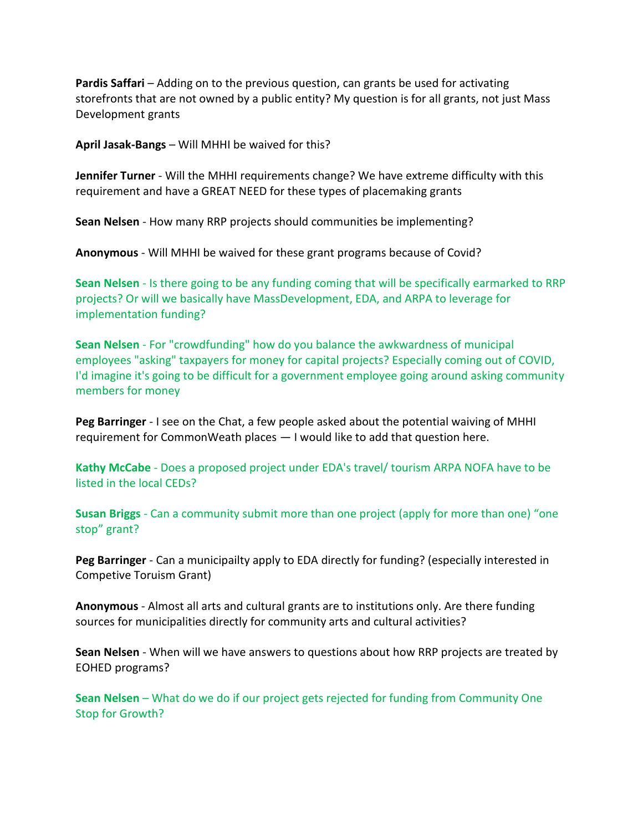**Pardis Saffari** – Adding on to the previous question, can grants be used for activating storefronts that are not owned by a public entity? My question is for all grants, not just Mass Development grants

**April Jasak-Bangs** – Will MHHI be waived for this?

**Jennifer Turner** - Will the MHHI requirements change? We have extreme difficulty with this requirement and have a GREAT NEED for these types of placemaking grants

**Sean Nelsen** - How many RRP projects should communities be implementing?

**Anonymous** - Will MHHI be waived for these grant programs because of Covid?

**Sean Nelsen** - Is there going to be any funding coming that will be specifically earmarked to RRP projects? Or will we basically have MassDevelopment, EDA, and ARPA to leverage for implementation funding?

**Sean Nelsen** - For "crowdfunding" how do you balance the awkwardness of municipal employees "asking" taxpayers for money for capital projects? Especially coming out of COVID, I'd imagine it's going to be difficult for a government employee going around asking community members for money

**Peg Barringer** - I see on the Chat, a few people asked about the potential waiving of MHHI requirement for CommonWeath places — I would like to add that question here.

**Kathy McCabe** - Does a proposed project under EDA's travel/ tourism ARPA NOFA have to be listed in the local CEDs?

**Susan Briggs** - Can a community submit more than one project (apply for more than one) "one stop" grant?

**Peg Barringer** - Can a municipailty apply to EDA directly for funding? (especially interested in Competive Toruism Grant)

**Anonymous** - Almost all arts and cultural grants are to institutions only. Are there funding sources for municipalities directly for community arts and cultural activities?

**Sean Nelsen** - When will we have answers to questions about how RRP projects are treated by EOHED programs?

**Sean Nelsen** – What do we do if our project gets rejected for funding from Community One Stop for Growth?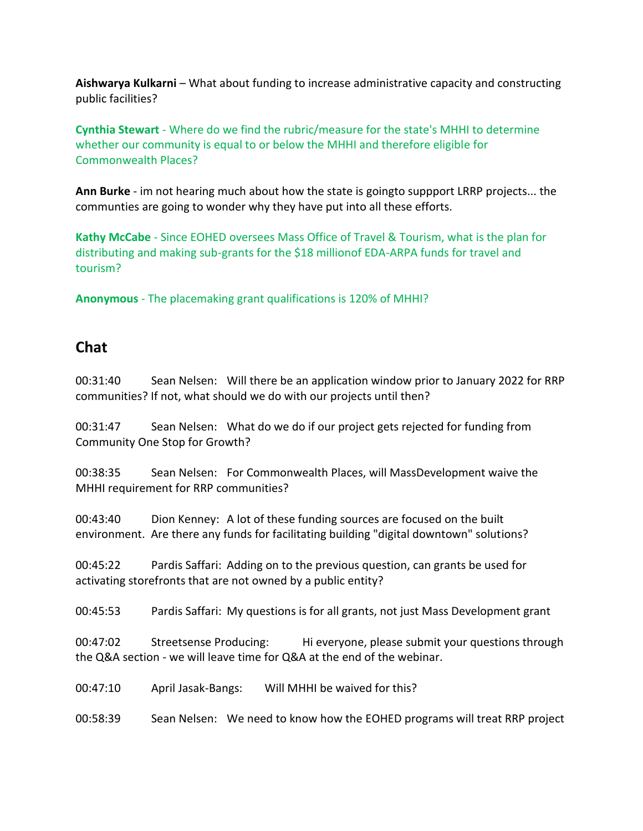**Aishwarya Kulkarni** – What about funding to increase administrative capacity and constructing public facilities?

**Cynthia Stewart** - Where do we find the rubric/measure for the state's MHHI to determine whether our community is equal to or below the MHHI and therefore eligible for Commonwealth Places?

**Ann Burke** - im not hearing much about how the state is goingto suppport LRRP projects... the communties are going to wonder why they have put into all these efforts.

**Kathy McCabe** - Since EOHED oversees Mass Office of Travel & Tourism, what is the plan for distributing and making sub-grants for the \$18 millionof EDA-ARPA funds for travel and tourism?

**Anonymous** - The placemaking grant qualifications is 120% of MHHI?

## **Chat**

00:31:40 Sean Nelsen: Will there be an application window prior to January 2022 for RRP communities? If not, what should we do with our projects until then?

00:31:47 Sean Nelsen: What do we do if our project gets rejected for funding from Community One Stop for Growth?

00:38:35 Sean Nelsen: For Commonwealth Places, will MassDevelopment waive the MHHI requirement for RRP communities?

00:43:40 Dion Kenney: A lot of these funding sources are focused on the built environment. Are there any funds for facilitating building "digital downtown" solutions?

00:45:22 Pardis Saffari: Adding on to the previous question, can grants be used for activating storefronts that are not owned by a public entity?

00:45:53 Pardis Saffari: My questions is for all grants, not just Mass Development grant

00:47:02 Streetsense Producing: Hi everyone, please submit your questions through the Q&A section - we will leave time for Q&A at the end of the webinar.

00:47:10 April Jasak-Bangs: Will MHHI be waived for this?

00:58:39 Sean Nelsen: We need to know how the EOHED programs will treat RRP project